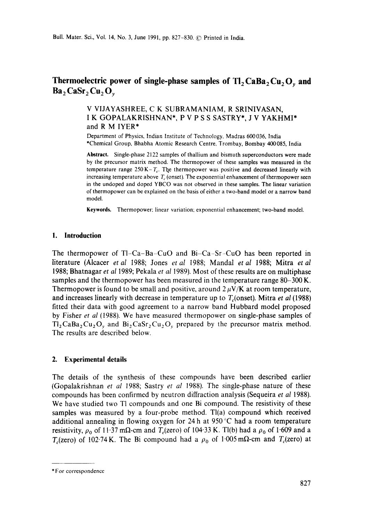# Thermoelectric power of single-phase samples of  $Tl_2$ CaBa<sub>2</sub>Cu<sub>2</sub>O<sub>y</sub> and  $Ba<sub>2</sub> CaSr<sub>2</sub> Cu<sub>2</sub> O<sub>v</sub>$

# v VIJAYASHREE, C K SUBRAMANIAM, R SRINIVASAN, I K GOPALAKRISHNAN\*, P V P S S SASTRY\*, J V YAKHMI\* and R M IYER\*

Department of Physics, Indian Institute of Technology, Madras 600036, India \*Chemical Group, Bhabha Atomic Research Centre, Trombay, Bombay 400085, India

**Abstract.** Single-phase 2122 samples of thallium and bismuth superconductors were made by the precursor matrix method. The thermopower of these samples was measured in the temperature range  $250 K - T_c$ . The thermopower was positive and decreased linearly with increasing temperature above  $T_c$  (onset). The exponential enhancement of thermopower seen in the undoped and doped YBCO was not observed in these samples. The linear variation of thermopower can be explained on the. basis of either a two-band model or a narrow band model.

**Keywords.** Thermopower: linear variation; exponential enhancement; two-band model.

# **1. Introduction**

The thermopower of TI-Ca-Ba-CuO and Bi-Ca-Sr-CuO has been reported in literature (Alcacer *et al* 1988; Jones *et al* 1988; Mandal *et al* 1988; Mitra *et al*  1988; Bhatnagar *et al* 1989; Pekala *et al* 1989), Most of these results are on multiphase samples and the thermopower has been measured in the temperature range 80-300 K. Thermopower is found to be small and positive, around  $2 \mu V/K$  at room temperature, and increases linearly with decrease in temperature up to  $T_c$  (onset). Mitra *et al* (1988) fitted their data with good agreement to a narrow band Hubbard model proposed by Fisher *et al* (1988). We have measured thermopower on single-phase samples of  $Tl_2CaBa_2Cu_2O_7$  and  $Bi_2CaSr_2Cu_2O_7$  prepared by the precursor matrix method. The results are described below.

# **2. Experimental details**

The details of the synthesis of these compounds have been described earlier (Gopalakrishnan *et at* 1988; Sastry *et at* 1988). The single-phase nature of these compounds has been confirmed by neutron diffraction analysis (Sequeira *et al* 1988). We have studied two Tl compounds and one Bi compound. The resistivity of these samples was measured by a four-probe method.  $T(a)$  compound which received additional annealing in flowing oxygen for 24 h at 950 °C had a room temperature resistivity,  $\rho_0$  of 11.37 m $\Omega$ -cm and  $T_c$ (zero) of 104.33 K. Tl(b) had a  $\rho_0$  of 1.609 and a T<sub>c</sub>(zero) of 102.74 K. The Bi compound had a  $\rho_0$  of 1.005 m $\Omega$ -cm and T<sub>c</sub>(zero) at

<sup>\*</sup> For correspondence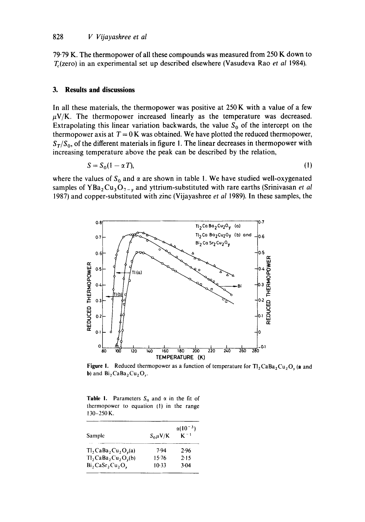79.79 K. The thermopower of all these compounds was measured from 250 K down to T~(zero) in an experimental set up described elsewhere (Vasudeva Rao *et al* 1984).

#### **3. Results and discussions**

In all these materials, the thermopower was positive at  $250K$  with a value of a few  $\mu$ V/K. The thermopower increased linearly as the temperature was decreased. Extrapolating this linear variation backwards, the value  $S_0$  of the intercept on the thermopower axis at  $T = 0$  K was obtained. We have plotted the reduced thermopower,  $S_T/S_0$ , of the different materials in figure 1. The linear decreases in thermopower with increasing temperature above the peak can be described by the relation,

$$
S = S_0(1 - \alpha T),\tag{1}
$$

where the values of  $S_0$  and  $\alpha$  are shown in table 1. We have studied well-oxygenated samples of  $YBa<sub>2</sub>Cu<sub>3</sub>O<sub>7-y</sub>$  and yttrium-substituted with rare earths (Srinivasan *et al* 1987) and copper-substituted with zinc (Vijayashree *et al* 1989). In these samples, the



**Figure 1.** Reduced thermopower as a function of temperature for  $T_1CaBa_2Cu_2O_x$  (a and **b**) and  $Bi_2CaBa_2Cu_2O_r$ .

**Table 1.** Parameters  $S_0$  and  $\alpha$  in the fit of thermopower to equation (1) in the range 130-250 K.

|                                                             | $\alpha(10^{-3})$ |          |
|-------------------------------------------------------------|-------------------|----------|
| Sample                                                      | $S_0 \mu V/K$     | $K^{-1}$ |
| $Tl_2$ CaBa <sub>2</sub> Cu <sub>2</sub> O <sub>v</sub> (a) | 7.94              | 2.96     |
| $TI_2$ CaBa <sub>2</sub> Cu <sub>2</sub> O <sub>y</sub> (b) | 15.76             | 2.15     |
| $Bi$ , CaSr <sub>2</sub> Cu <sub>2</sub> O <sub>v</sub>     | $10-33$           | 3.04     |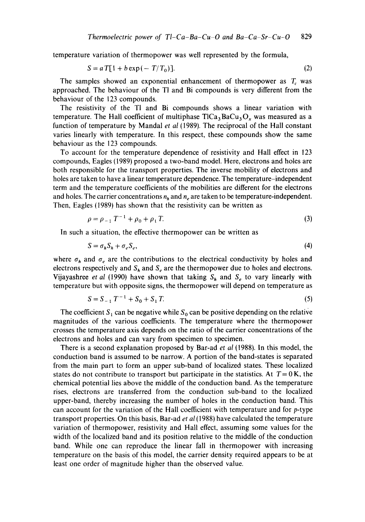temperature variation of thermopower was well represented by the formula,

$$
S = a T[1 + b \exp(-T/T_0)].
$$
\n(2)

The samples showed an exponential enhancement of thermopower as  $T_c$  was approached. The behaviour of the TI and Bi compounds is very different from the behaviour of the 123 compounds.

The resistivity of the TI and Bi compounds shows a linear variation with temperature. The Hall coefficient of multiphase  $T1Ca<sub>3</sub>BaCu<sub>3</sub>O<sub>x</sub>$  was measured as a function of temperature by Mandal *et al* (1989). The reciprocal of the Hall constant varies linearly with temperature, In this respect, these compounds show the same behaviour as the 123 compounds.

To account for the temperature dependence of resistivity and Hall effect in 123 compounds, Eagles (1989) proposed a two-band model. Here, electrons and holes are both responsible for the transport properties. The inverse mobility of electrons and holes are taken to have a linear temperature dependence. The temperature-independent term and the temperature coefficients of the mobilities are different for the electrons and holes. The carrier concentrations  $n_h$  and  $n_e$  are taken to be temperature-independent. Then, Eagles (1989) has shown that the resistivity can be written as

$$
\rho = \rho_{-1} T^{-1} + \rho_0 + \rho_1 T. \tag{3}
$$

In such a situation, the effective thermopower can be written as

$$
S = \sigma_h S_h + \sigma_e S_e, \tag{4}
$$

where  $\sigma_h$  and  $\sigma_e$  are the contributions to the electrical conductivity by holes and electrons respectively and  $S_h$  and  $S_e$  are the thermopower due to holes and electrons. Vijayashree *et al* (1990) have shown that taking  $S_h$  and  $S_e$  to vary linearly with temperature but with opposite signs, the thermopower will depend on temperature as

$$
S = S_{-1} T^{-1} + S_0 + S_1 T. \tag{5}
$$

The coefficient S<sub>1</sub> can be negative while S<sub>0</sub> can be positive depending on the relative magnitudes of the various coefficients. The temperature where the thermopower crosses the temperature axis depends on the ratio of the carrier concentrations of the electrons and holes and can vary from specimen to specimen.

There is a second explanation proposed by Bar-ad *et al* (1988). In this model, the conduction band is assumed to be narrow. A portion of the band-states is separated from the main part to form an upper sub-band of localized states. These localized states do not contribute to transport but participate in the statistics. At  $T = 0$  K, the chemical potential lies above the middle of the conduction band. As the temperature rises, electrons are transferred from the conduction sub-band to the localized upper-band, thereby increasing the number of holes in the conduction band. This can account for the variation of the Hall coefficient with temperature and for  $p$ -type transport properties. On this basis, Bar-ad *et al* (1988) have calculated the temperature variation of thermopower, resistivity and Hall effect, assuming some values for the width of the localized band and its position relative to the middle of the conduction band. While one can reproduce the linear fall in thermopower with increasing temperature on the basis of this model, the carrier density required appears to be at least one order of magnitude higher than the observed value.